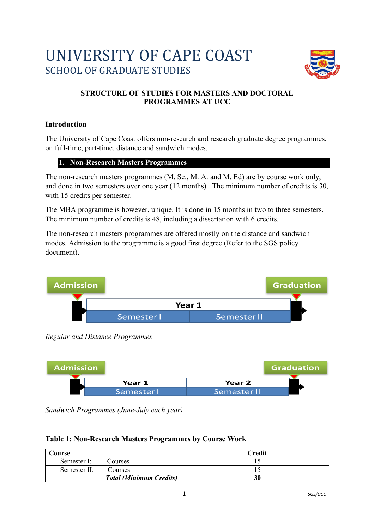# UNIVERSITY OF CAPE COAST **SCHOOL OF GRADUATE STUDIES**



## **STRUCTURE OF STUDIES FOR MASTERS AND DOCTORAL PROGRAMMES AT UCC**

## **Introduction**

The University of Cape Coast offers non-research and research graduate degree programmes, on full-time, part-time, distance and sandwich modes.

## **1. Non-Research Masters Programmes**

The non-research masters programmes (M. Sc., M. A. and M. Ed) are by course work only, and done in two semesters over one year (12 months). The minimum number of credits is 30, with 15 credits per semester.

The MBA programme is however, unique. It is done in 15 months in two to three semesters. The minimum number of credits is 48, including a dissertation with 6 credits.

The non-research masters programmes are offered mostly on the distance and sandwich modes. Admission to the programme is a good first degree (Refer to the SGS policy document).



*Regular and Distance Programmes*



*Sandwich Programmes (June-July each year)*

#### **Table 1: Non-Research Masters Programmes by Course Work**

| Course       |                                | <b>Credit</b> |
|--------------|--------------------------------|---------------|
| Semester I:  | Courses                        |               |
| Semester II: | Courses                        |               |
|              | <b>Total (Minimum Credits)</b> | 30            |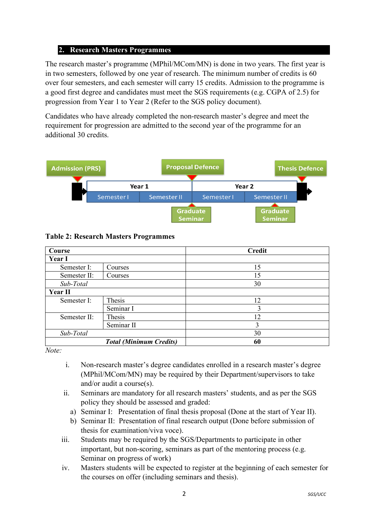#### **2. Research Masters Programmes**

The research master's programme (MPhil/MCom/MN) is done in two years. The first year is in two semesters, followed by one year of research. The minimum number of credits is 60 over four semesters, and each semester will carry 15 credits. Admission to the programme is a good first degree and candidates must meet the SGS requirements (e.g. CGPA of 2.5) for progression from Year 1 to Year 2 (Refer to the SGS policy document).

Candidates who have already completed the non-research master's degree and meet the requirement for progression are admitted to the second year of the programme for an additional 30 credits.



**Table 2: Research Masters Programmes**

| Course         |                                | <b>Credit</b> |
|----------------|--------------------------------|---------------|
| <b>Year I</b>  |                                |               |
| Semester I:    | Courses                        | 15            |
| Semester II:   | Courses                        | 15            |
| Sub-Total      |                                | 30            |
| <b>Year II</b> |                                |               |
| Semester I:    | Thesis                         | 12            |
|                | Seminar I                      | 3             |
| Semester II:   | Thesis                         | 12            |
|                | Seminar II                     | 3             |
| Sub-Total      |                                | 30            |
|                | <b>Total (Minimum Credits)</b> | 60            |

*Note:*

- i. Non-research master's degree candidates enrolled in a research master's degree (MPhil/MCom/MN) may be required by their Department/supervisors to take and/or audit a course(s).
- ii. Seminars are mandatory for all research masters' students, and as per the SGS policy they should be assessed and graded:
	- a) Seminar I: Presentation of final thesis proposal (Done at the start of Year II).
	- b) Seminar II: Presentation of final research output (Done before submission of thesis for examination/viva voce).
- iii. Students may be required by the SGS/Departments to participate in other important, but non-scoring, seminars as part of the mentoring process (e.g. Seminar on progress of work)
- iv. Masters students will be expected to register at the beginning of each semester for the courses on offer (including seminars and thesis).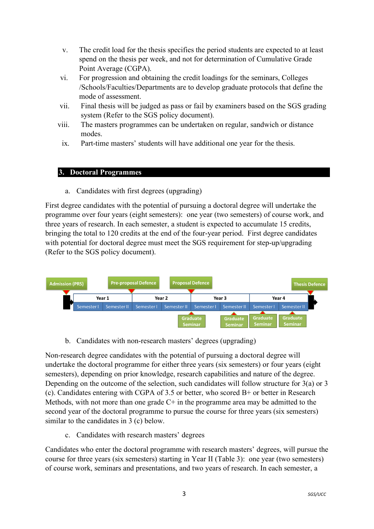- v. The credit load for the thesis specifies the period students are expected to at least spend on the thesis per week, and not for determination of Cumulative Grade Point Average (CGPA).
- vi. For progression and obtaining the credit loadings for the seminars, Colleges /Schools/Faculties/Departments are to develop graduate protocols that define the mode of assessment.
- vii. Final thesis will be judged as pass or fail by examiners based on the SGS grading system (Refer to the SGS policy document).
- viii. The masters programmes can be undertaken on regular, sandwich or distance modes.
- ix. Part-time masters' students will have additional one year for the thesis.

#### **3. Doctoral Programmes**

a. Candidates with first degrees (upgrading)

First degree candidates with the potential of pursuing a doctoral degree will undertake the programme over four years (eight semesters): one year (two semesters) of course work, and three years of research. In each semester, a student is expected to accumulate 15 credits, bringing the total to 120 credits at the end of the four-year period. First degree candidates with potential for doctoral degree must meet the SGS requirement for step-up/upgrading (Refer to the SGS policy document).



b. Candidates with non-research masters' degrees (upgrading)

Non-research degree candidates with the potential of pursuing a doctoral degree will undertake the doctoral programme for either three years (six semesters) or four years (eight semesters), depending on prior knowledge, research capabilities and nature of the degree. Depending on the outcome of the selection, such candidates will follow structure for 3(a) or 3 (c). Candidates entering with CGPA of 3.5 or better, who scored B+ or better in Research Methods, with not more than one grade C+ in the programme area may be admitted to the second year of the doctoral programme to pursue the course for three years (six semesters) similar to the candidates in 3 (c) below.

c. Candidates with research masters' degrees

Candidates who enter the doctoral programme with research masters' degrees, will pursue the course for three years (six semesters) starting in Year II (Table 3): one year (two semesters) of course work, seminars and presentations, and two years of research. In each semester, a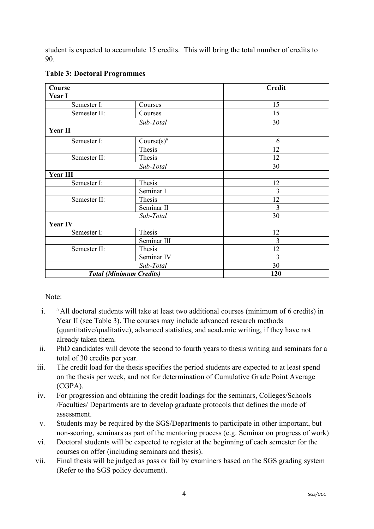student is expected to accumulate 15 credits. This will bring the total number of credits to 90.

| Course          |                                | <b>Credit</b>  |
|-----------------|--------------------------------|----------------|
| Year I          |                                |                |
| Semester I:     | Courses                        | 15             |
| Semester II:    | Courses                        | 15             |
|                 | Sub-Total                      | 30             |
| Year II         |                                |                |
| Semester I:     | Course(s) <sup>a</sup>         | 6              |
|                 | Thesis                         | 12             |
| Semester II:    | Thesis                         | 12             |
|                 | Sub-Total                      | 30             |
| <b>Year III</b> |                                |                |
| Semester I:     | Thesis                         | 12             |
|                 | Seminar I                      | $\overline{3}$ |
| Semester II:    | Thesis                         | 12             |
|                 | Seminar II                     | 3              |
|                 | Sub-Total                      | 30             |
| <b>Year IV</b>  |                                |                |
| Semester I:     | Thesis                         | 12             |
|                 | Seminar III                    | 3              |
| Semester II:    | Thesis                         | 12             |
|                 | Seminar IV                     | 3              |
|                 | Sub-Total                      | 30             |
|                 | <b>Total (Minimum Credits)</b> | 120            |

## **Table 3: Doctoral Programmes**

Note:

- i.  $a$  All doctoral students will take at least two additional courses (minimum of 6 credits) in Year II (see Table 3). The courses may include advanced research methods (quantitative/qualitative), advanced statistics, and academic writing, if they have not already taken them.
- ii. PhD candidates will devote the second to fourth years to thesis writing and seminars for a total of 30 credits per year.
- iii. The credit load for the thesis specifies the period students are expected to at least spend on the thesis per week, and not for determination of Cumulative Grade Point Average (CGPA).
- iv. For progression and obtaining the credit loadings for the seminars, Colleges/Schools /Faculties/ Departments are to develop graduate protocols that defines the mode of assessment.
- v. Students may be required by the SGS/Departments to participate in other important, but non-scoring, seminars as part of the mentoring process (e.g. Seminar on progress of work)
- vi. Doctoral students will be expected to register at the beginning of each semester for the courses on offer (including seminars and thesis).
- vii. Final thesis will be judged as pass or fail by examiners based on the SGS grading system (Refer to the SGS policy document).